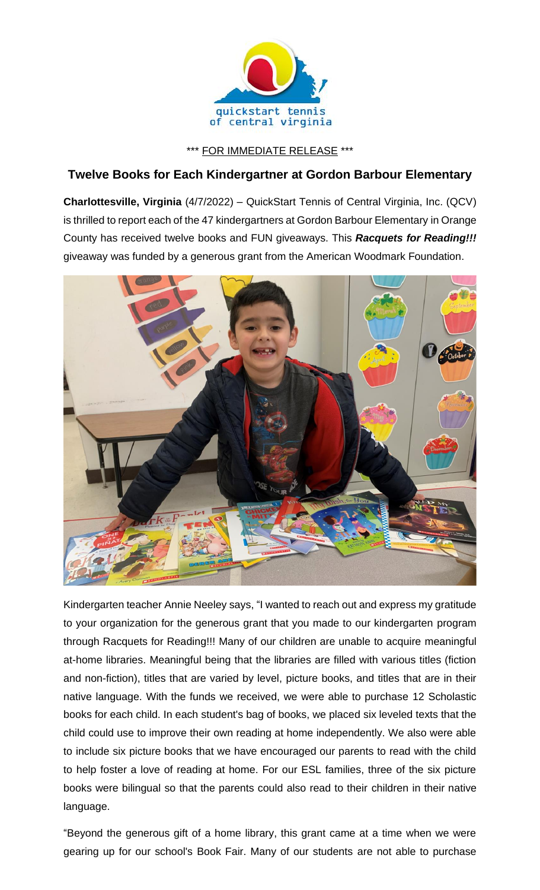

\*\*\* FOR IMMEDIATE RELEASE \*\*\*

## **Twelve Books for Each Kindergartner at Gordon Barbour Elementary**

**Charlottesville, Virginia** (4/7/2022) – QuickStart Tennis of Central Virginia, Inc. (QCV) is thrilled to report each of the 47 kindergartners at Gordon Barbour Elementary in Orange County has received twelve books and FUN giveaways. This *Racquets for Reading!!!* giveaway was funded by a generous grant from the American Woodmark Foundation.



Kindergarten teacher Annie Neeley says, "I wanted to reach out and express my gratitude to your organization for the generous grant that you made to our kindergarten program through Racquets for Reading!!! Many of our children are unable to acquire meaningful at-home libraries. Meaningful being that the libraries are filled with various titles (fiction and non-fiction), titles that are varied by level, picture books, and titles that are in their native language. With the funds we received, we were able to purchase 12 Scholastic books for each child. In each student's bag of books, we placed six leveled texts that the child could use to improve their own reading at home independently. We also were able to include six picture books that we have encouraged our parents to read with the child to help foster a love of reading at home. For our ESL families, three of the six picture books were bilingual so that the parents could also read to their children in their native language.

"Beyond the generous gift of a home library, this grant came at a time when we were gearing up for our school's Book Fair. Many of our students are not able to purchase